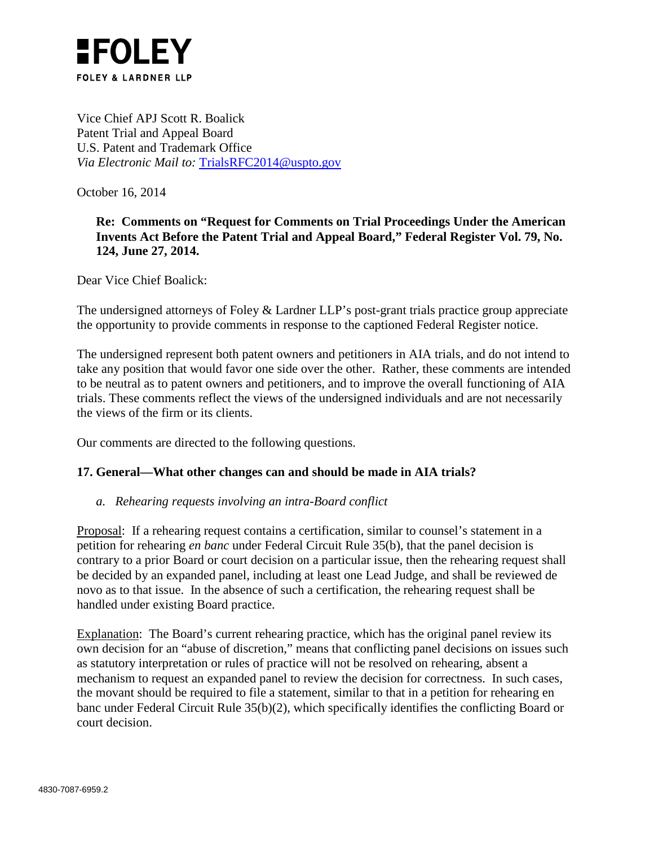

Vice Chief APJ Scott R. Boalick Patent Trial and Appeal Board U.S. Patent and Trademark Office *Via Electronic Mail to:* [TrialsRFC2014@uspto.gov](mailto:TrialsRFC2014@uspto.gov)

October 16, 2014

## **Re: Comments on "Request for Comments on Trial Proceedings Under the American Invents Act Before the Patent Trial and Appeal Board," Federal Register Vol. 79, No. 124, June 27, 2014.**

Dear Vice Chief Boalick:

The undersigned attorneys of Foley & Lardner LLP's post-grant trials practice group appreciate the opportunity to provide comments in response to the captioned Federal Register notice.

The undersigned represent both patent owners and petitioners in AIA trials, and do not intend to take any position that would favor one side over the other. Rather, these comments are intended to be neutral as to patent owners and petitioners, and to improve the overall functioning of AIA trials. These comments reflect the views of the undersigned individuals and are not necessarily the views of the firm or its clients.

Our comments are directed to the following questions.

## **17. General—What other changes can and should be made in AIA trials?**

## *a. Rehearing requests involving an intra-Board conflict*

Proposal: If a rehearing request contains a certification, similar to counsel's statement in a petition for rehearing *en banc* under Federal Circuit Rule 35(b), that the panel decision is contrary to a prior Board or court decision on a particular issue, then the rehearing request shall be decided by an expanded panel, including at least one Lead Judge, and shall be reviewed de novo as to that issue. In the absence of such a certification, the rehearing request shall be handled under existing Board practice.

Explanation: The Board's current rehearing practice, which has the original panel review its own decision for an "abuse of discretion," means that conflicting panel decisions on issues such as statutory interpretation or rules of practice will not be resolved on rehearing, absent a mechanism to request an expanded panel to review the decision for correctness. In such cases, the movant should be required to file a statement, similar to that in a petition for rehearing en banc under Federal Circuit Rule 35(b)(2), which specifically identifies the conflicting Board or court decision.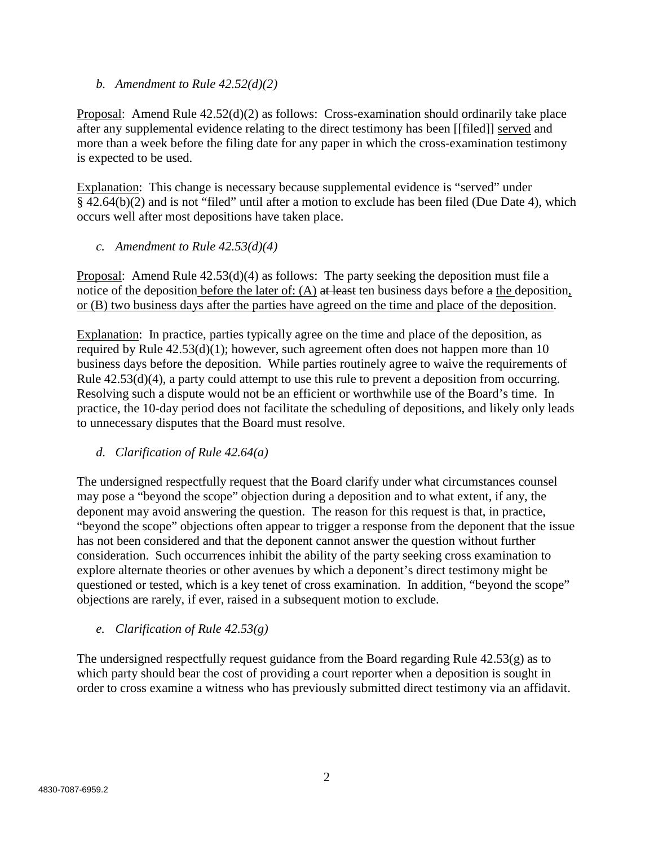*b. Amendment to Rule 42.52(d)(2)*

Proposal: Amend Rule 42.52(d)(2) as follows: Cross-examination should ordinarily take place after any supplemental evidence relating to the direct testimony has been [[filed]] served and more than a week before the filing date for any paper in which the cross-examination testimony is expected to be used.

Explanation: This change is necessary because supplemental evidence is "served" under § 42.64(b)(2) and is not "filed" until after a motion to exclude has been filed (Due Date 4), which occurs well after most depositions have taken place.

*c. Amendment to Rule 42.53(d)(4)*

Proposal: Amend Rule 42.53(d)(4) as follows: The party seeking the deposition must file a notice of the deposition before the later of: (A) at least ten business days before a the deposition, or (B) two business days after the parties have agreed on the time and place of the deposition.

Explanation: In practice, parties typically agree on the time and place of the deposition, as required by Rule 42.53(d)(1); however, such agreement often does not happen more than 10 business days before the deposition. While parties routinely agree to waive the requirements of Rule 42.53(d)(4), a party could attempt to use this rule to prevent a deposition from occurring. Resolving such a dispute would not be an efficient or worthwhile use of the Board's time. In practice, the 10-day period does not facilitate the scheduling of depositions, and likely only leads to unnecessary disputes that the Board must resolve.

*d. Clarification of Rule 42.64(a)*

The undersigned respectfully request that the Board clarify under what circumstances counsel may pose a "beyond the scope" objection during a deposition and to what extent, if any, the deponent may avoid answering the question. The reason for this request is that, in practice, "beyond the scope" objections often appear to trigger a response from the deponent that the issue has not been considered and that the deponent cannot answer the question without further consideration. Such occurrences inhibit the ability of the party seeking cross examination to explore alternate theories or other avenues by which a deponent's direct testimony might be questioned or tested, which is a key tenet of cross examination. In addition, "beyond the scope" objections are rarely, if ever, raised in a subsequent motion to exclude.

*e. Clarification of Rule 42.53(g)*

The undersigned respectfully request guidance from the Board regarding Rule  $42.53(g)$  as to which party should bear the cost of providing a court reporter when a deposition is sought in order to cross examine a witness who has previously submitted direct testimony via an affidavit.